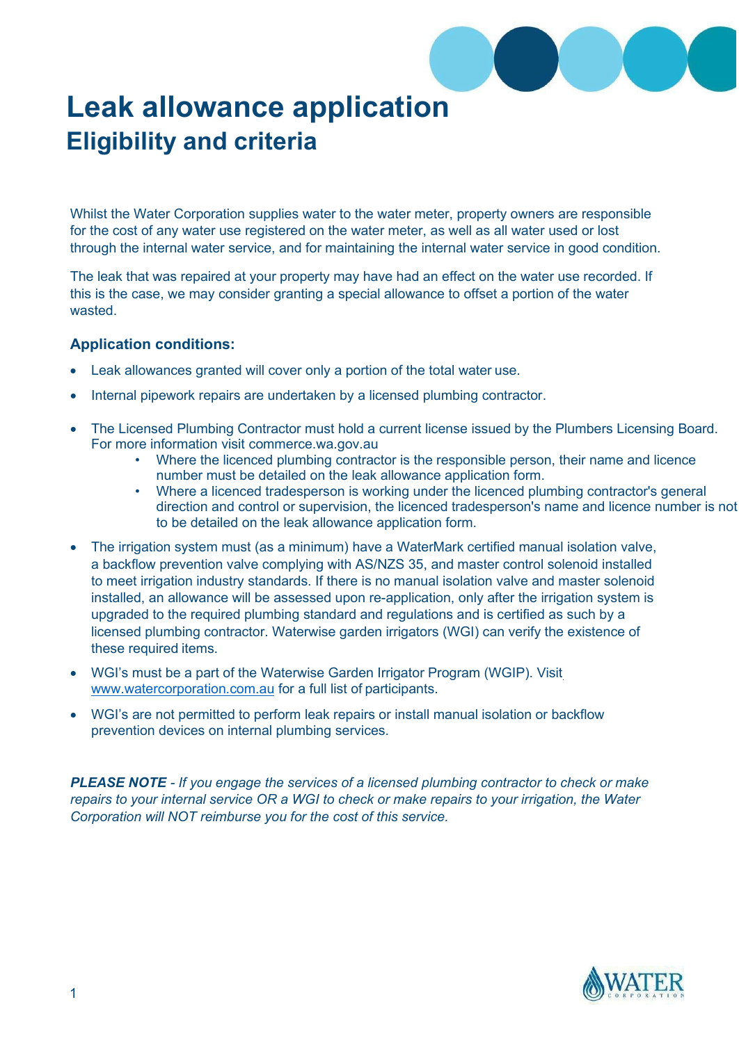

## **Leak allowance application Eligibility and criteria**

Whilst the Water Corporation supplies water to the water meter, property owners are responsible for the cost of any water use registered on the water meter, as well as all water used or lost through the internal water service, and for maintaining the internal water service in good condition.

The leak that was repaired at your property may have had an effect on the water use recorded. If this is the case, we may consider granting a special allowance to offset a portion of the water wasted.

## **Application conditions:**

- Leak allowances granted will cover only a portion of the total water use.
- Internal pipework repairs are undertaken by a licensed plumbing contractor.
- The Licensed Plumbing Contractor must hold a current license issued by the Plumbers Licensing Board. For more information visit commerce.wa.gov.au
	- Where the licenced plumbing contractor is the responsible person, their name and licence number must be detailed on the leak allowance application form.
	- Where a licenced tradesperson is working under the licenced plumbing contractor's general direction and control or supervision, the licenced tradesperson's name and licence number is not to be detailed on the leak allowance application form.
- The irrigation system must (as a minimum) have a WaterMark certified manual isolation valve, a backflow prevention valve complying with AS/NZS 35, and master control solenoid installed to meet irrigation industry standards. If there is no manual isolation valve and master solenoid installed, an allowance will be assessed upon re-application, only after the irrigation system is upgraded to the required plumbing standard and regulations and is certified as such by a licensed plumbing contractor. Waterwise garden irrigators (WGI) can verify the existence of these required items.
- WGI's must be a part of the Waterwise Garden Irrigator Program (WGIP). Visi[t](https://www.watercorporation.com.au/save-water/search-for-waterwise-services) [www.watercorporation.com.au](https://www.watercorporation.com.au/save-water/search-for-waterwise-services) for a full list of participants.
- WGI's are not permitted to perform leak repairs or install manual isolation or backflow prevention devices on internal plumbing services.

*PLEASE NOTE - If you engage the services of a licensed plumbing contractor to check or make repairs to your internal service OR a WGI to check or make repairs to your irrigation, the Water Corporation will NOT reimburse you for the cost of this service.*